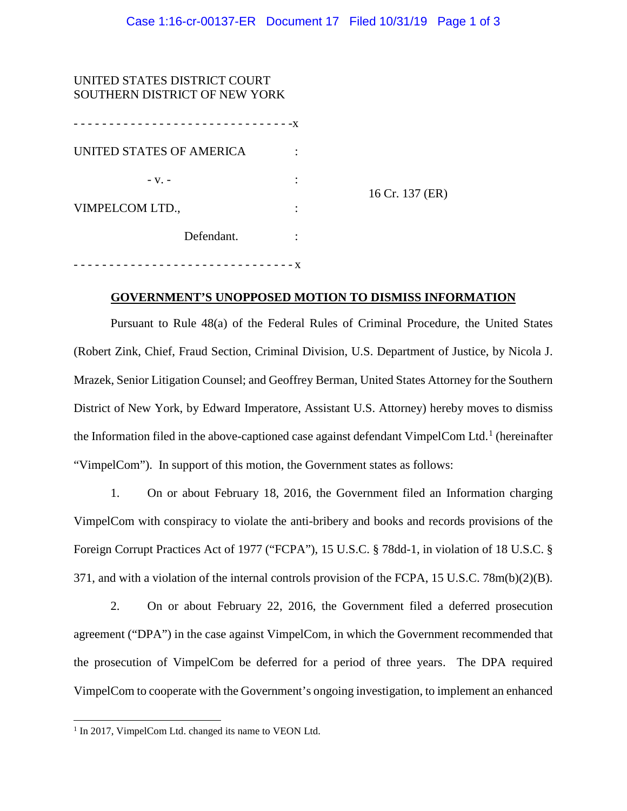| UNITED STATES DISTRICT COURT        |             |                 |
|-------------------------------------|-------------|-----------------|
| SOUTHERN DISTRICT OF NEW YORK       |             |                 |
| -------------------------- <b>X</b> |             |                 |
| UNITED STATES OF AMERICA            |             |                 |
| $-V.$ -                             |             | 16 Cr. 137 (ER) |
| VIMPELCOM LTD.,                     |             |                 |
| Defendant.                          |             |                 |
|                                     | - - - - - X |                 |

## **GOVERNMENT'S UNOPPOSED MOTION TO DISMISS INFORMATION**

Pursuant to Rule 48(a) of the Federal Rules of Criminal Procedure, the United States (Robert Zink, Chief, Fraud Section, Criminal Division, U.S. Department of Justice, by Nicola J. Mrazek, Senior Litigation Counsel; and Geoffrey Berman, United States Attorney for the Southern District of New York, by Edward Imperatore, Assistant U.S. Attorney) hereby moves to dismiss the Information filed in the above-captioned case against defendant VimpelCom Ltd.<sup>[1](#page-0-0)</sup> (hereinafter "VimpelCom"). In support of this motion, the Government states as follows:

1. On or about February 18, 2016, the Government filed an Information charging VimpelCom with conspiracy to violate the anti-bribery and books and records provisions of the Foreign Corrupt Practices Act of 1977 ("FCPA"), 15 U.S.C. § 78dd-1, in violation of 18 U.S.C. § 371, and with a violation of the internal controls provision of the FCPA, 15 U.S.C. 78m(b)(2)(B).

2. On or about February 22, 2016, the Government filed a deferred prosecution agreement ("DPA") in the case against VimpelCom, in which the Government recommended that the prosecution of VimpelCom be deferred for a period of three years. The DPA required VimpelCom to cooperate with the Government's ongoing investigation, to implement an enhanced

<span id="page-0-0"></span><sup>&</sup>lt;sup>1</sup> In 2017, VimpelCom Ltd. changed its name to VEON Ltd.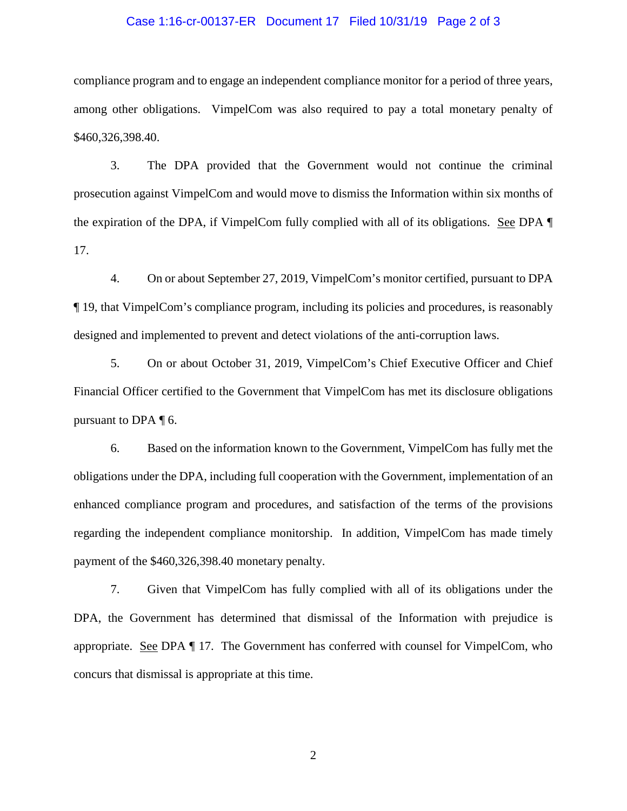## Case 1:16-cr-00137-ER Document 17 Filed 10/31/19 Page 2 of 3

compliance program and to engage an independent compliance monitor for a period of three years, among other obligations. VimpelCom was also required to pay a total monetary penalty of \$460,326,398.40.

3. The DPA provided that the Government would not continue the criminal prosecution against VimpelCom and would move to dismiss the Information within six months of the expiration of the DPA, if VimpelCom fully complied with all of its obligations. See DPA ¶ 17.

4. On or about September 27, 2019, VimpelCom's monitor certified, pursuant to DPA ¶ 19, that VimpelCom's compliance program, including its policies and procedures, is reasonably designed and implemented to prevent and detect violations of the anti-corruption laws.

5. On or about October 31, 2019, VimpelCom's Chief Executive Officer and Chief Financial Officer certified to the Government that VimpelCom has met its disclosure obligations pursuant to DPA ¶ 6.

6. Based on the information known to the Government, VimpelCom has fully met the obligations under the DPA, including full cooperation with the Government, implementation of an enhanced compliance program and procedures, and satisfaction of the terms of the provisions regarding the independent compliance monitorship. In addition, VimpelCom has made timely payment of the \$460,326,398.40 monetary penalty.

7. Given that VimpelCom has fully complied with all of its obligations under the DPA, the Government has determined that dismissal of the Information with prejudice is appropriate. See DPA ¶ 17. The Government has conferred with counsel for VimpelCom, who concurs that dismissal is appropriate at this time.

2